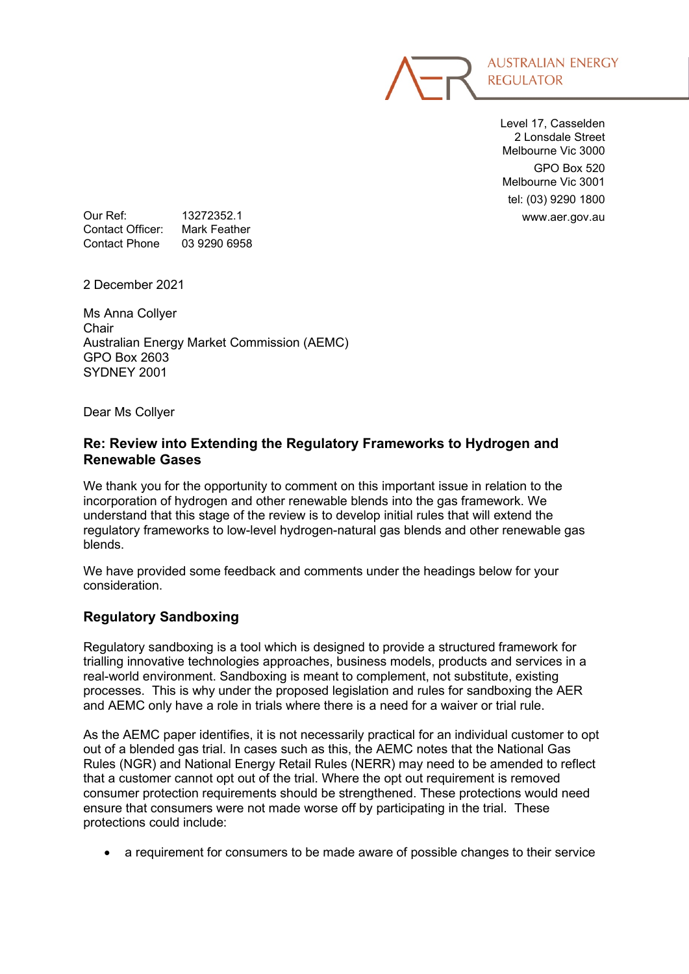

Level 17, Casselden 2 Lonsdale Street Melbourne Vic 3000 GPO Box 520 Melbourne Vic 3001 tel: (03) 9290 1800

Our Ref: 13272352.1 and 13272352.1 www.aer.gov.au<br>Contact Officer: Mark Feather Contact Officer: Contact Phone 03 9290 6958

2 December 2021

Ms Anna Collyer **Chair** Australian Energy Market Commission (AEMC) GPO Box 2603 SYDNEY 2001

Dear Ms Collyer

## **Re: Review into Extending the Regulatory Frameworks to Hydrogen and Renewable Gases**

We thank you for the opportunity to comment on this important issue in relation to the incorporation of hydrogen and other renewable blends into the gas framework. We understand that this stage of the review is to develop initial rules that will extend the regulatory frameworks to low-level hydrogen-natural gas blends and other renewable gas blends.

We have provided some feedback and comments under the headings below for your consideration.

# **Regulatory Sandboxing**

Regulatory sandboxing is a tool which is designed to provide a structured framework for trialling innovative technologies approaches, business models, products and services in a real-world environment. Sandboxing is meant to complement, not substitute, existing processes. This is why under the proposed legislation and rules for sandboxing the AER and AEMC only have a role in trials where there is a need for a waiver or trial rule.

As the AEMC paper identifies, it is not necessarily practical for an individual customer to opt out of a blended gas trial. In cases such as this, the AEMC notes that the National Gas Rules (NGR) and National Energy Retail Rules (NERR) may need to be amended to reflect that a customer cannot opt out of the trial. Where the opt out requirement is removed consumer protection requirements should be strengthened. These protections would need ensure that consumers were not made worse off by participating in the trial. These protections could include:

• a requirement for consumers to be made aware of possible changes to their service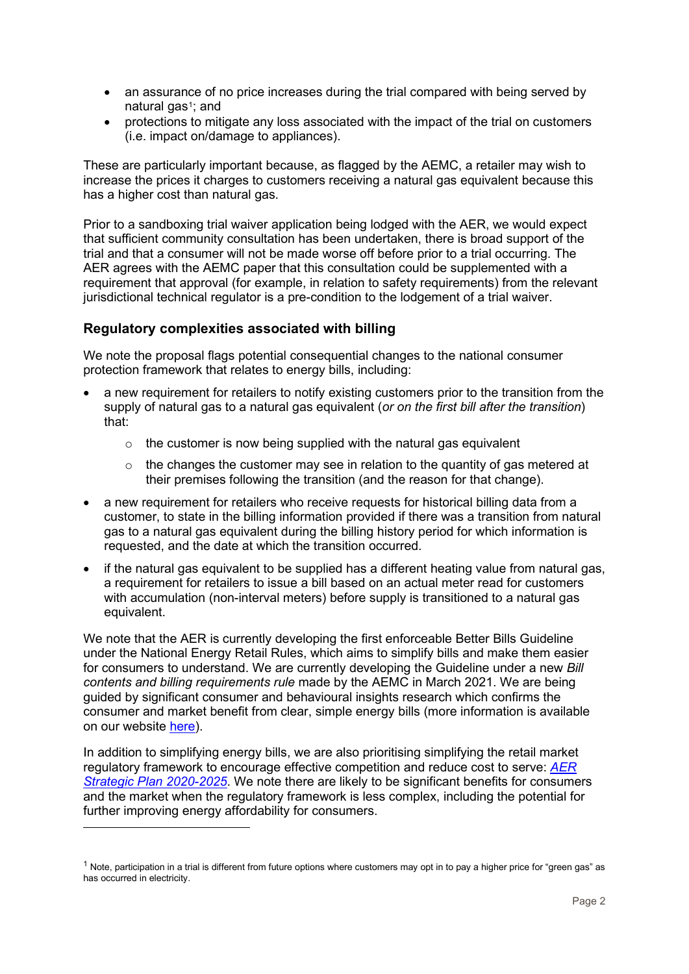- an assurance of no price increases during the trial compared with being served by natural gas<sup>1</sup>; and
- protections to mitigate any loss associated with the impact of the trial on customers (i.e. impact on/damage to appliances).

These are particularly important because, as flagged by the AEMC, a retailer may wish to increase the prices it charges to customers receiving a natural gas equivalent because this has a higher cost than natural gas.

Prior to a sandboxing trial waiver application being lodged with the AER, we would expect that sufficient community consultation has been undertaken, there is broad support of the trial and that a consumer will not be made worse off before prior to a trial occurring. The AER agrees with the AEMC paper that this consultation could be supplemented with a requirement that approval (for example, in relation to safety requirements) from the relevant jurisdictional technical regulator is a pre-condition to the lodgement of a trial waiver.

### **Regulatory complexities associated with billing**

We note the proposal flags potential consequential changes to the national consumer protection framework that relates to energy bills, including:

- a new requirement for retailers to notify existing customers prior to the transition from the supply of natural gas to a natural gas equivalent (*or on the first bill after the transition*) that:
	- $\circ$  the customer is now being supplied with the natural gas equivalent
	- $\circ$  the changes the customer may see in relation to the quantity of gas metered at their premises following the transition (and the reason for that change).
- a new requirement for retailers who receive requests for historical billing data from a customer, to state in the billing information provided if there was a transition from natural gas to a natural gas equivalent during the billing history period for which information is requested, and the date at which the transition occurred.
- if the natural gas equivalent to be supplied has a different heating value from natural gas, a requirement for retailers to issue a bill based on an actual meter read for customers with accumulation (non-interval meters) before supply is transitioned to a natural gas equivalent.

We note that the AER is currently developing the first enforceable Better Bills Guideline under the National Energy Retail Rules, which aims to simplify bills and make them easier for consumers to understand. We are currently developing the Guideline under a new *Bill contents and billing requirements rule* made by the AEMC in March 2021. We are being guided by significant consumer and behavioural insights research which confirms the consumer and market benefit from clear, simple energy bills (more information is available on our website [here\)](https://www.aer.gov.au/retail-markets/guidelines-reviews/better-bills-guideline).

In addition to simplifying energy bills, we are also prioritising simplifying the retail market regulatory framework to encourage effective competition and reduce cost to serve: *[AER](https://www.aer.gov.au/system/files/AER-Strategic-Plan_2020-2025.pdf)  [Strategic Plan 2020-2025](https://www.aer.gov.au/system/files/AER-Strategic-Plan_2020-2025.pdf)*. We note there are likely to be significant benefits for consumers and the market when the regulatory framework is less complex, including the potential for further improving energy affordability for consumers.

<span id="page-1-0"></span> $1$  Note, participation in a trial is different from future options where customers may opt in to pay a higher price for "green gas" as has occurred in electricity.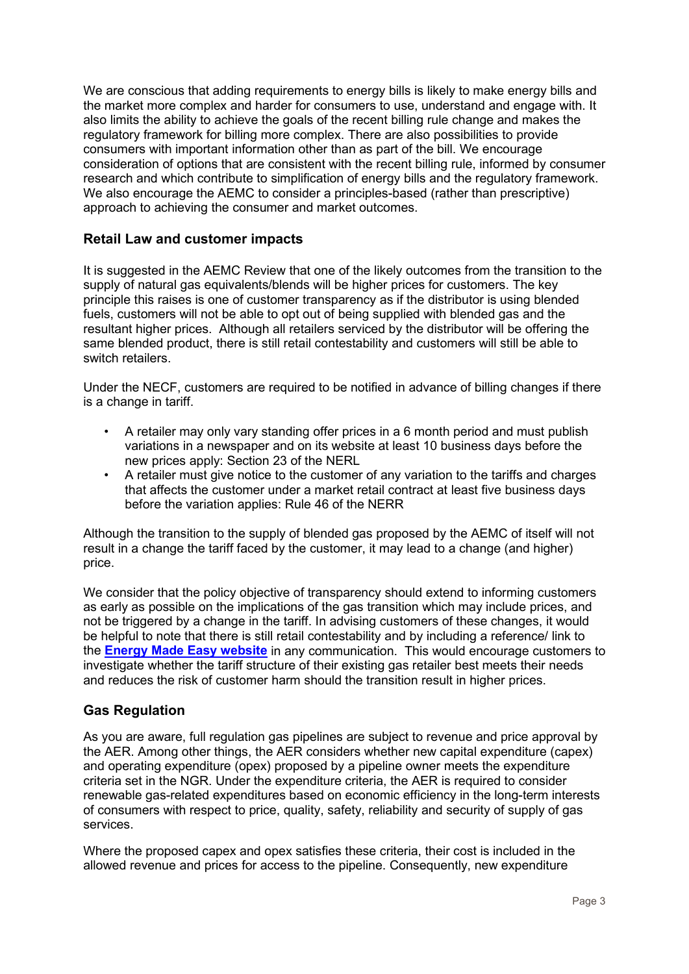We are conscious that adding requirements to energy bills is likely to make energy bills and the market more complex and harder for consumers to use, understand and engage with. It also limits the ability to achieve the goals of the recent billing rule change and makes the regulatory framework for billing more complex. There are also possibilities to provide consumers with important information other than as part of the bill. We encourage consideration of options that are consistent with the recent billing rule, informed by consumer research and which contribute to simplification of energy bills and the regulatory framework. We also encourage the AEMC to consider a principles-based (rather than prescriptive) approach to achieving the consumer and market outcomes.

# **Retail Law and customer impacts**

It is suggested in the AEMC Review that one of the likely outcomes from the transition to the supply of natural gas equivalents/blends will be higher prices for customers. The key principle this raises is one of customer transparency as if the distributor is using blended fuels, customers will not be able to opt out of being supplied with blended gas and the resultant higher prices. Although all retailers serviced by the distributor will be offering the same blended product, there is still retail contestability and customers will still be able to switch retailers.

Under the NECF, customers are required to be notified in advance of billing changes if there is a change in tariff.

- A retailer may only vary standing offer prices in a 6 month period and must publish variations in a newspaper and on its website at least 10 business days before the new prices apply: Section 23 of the NERL
- A retailer must give notice to the customer of any variation to the tariffs and charges that affects the customer under a market retail contract at least five business days before the variation applies: Rule 46 of the NERR

Although the transition to the supply of blended gas proposed by the AEMC of itself will not result in a change the tariff faced by the customer, it may lead to a change (and higher) price.

We consider that the policy objective of transparency should extend to informing customers as early as possible on the implications of the gas transition which may include prices, and not be triggered by a change in the tariff. In advising customers of these changes, it would be helpful to note that there is still retail contestability and by including a reference/ link to the **[Energy Made Easy website](https://www.energymadeeasy.gov.au/)** in any communication. This would encourage customers to investigate whether the tariff structure of their existing gas retailer best meets their needs and reduces the risk of customer harm should the transition result in higher prices.

# **Gas Regulation**

As you are aware, full regulation gas pipelines are subject to revenue and price approval by the AER. Among other things, the AER considers whether new capital expenditure (capex) and operating expenditure (opex) proposed by a pipeline owner meets the expenditure criteria set in the NGR. Under the expenditure criteria, the AER is required to consider renewable gas-related expenditures based on economic efficiency in the long-term interests of consumers with respect to price, quality, safety, reliability and security of supply of gas services.

Where the proposed capex and opex satisfies these criteria, their cost is included in the allowed revenue and prices for access to the pipeline. Consequently, new expenditure